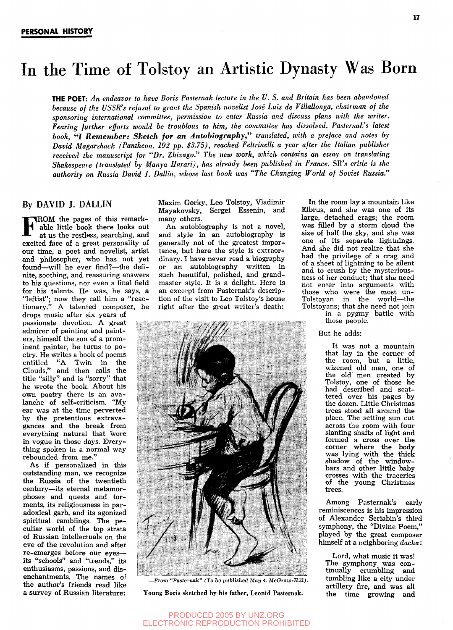# In the Time of Tolstoy an Artistic Dynasty Was Born

**THE POET:** *An endeavor to have Boris Pasternak lecture in the U. S. and Britain has been abandoned because of the USSR's refusal to grant the Spanish novelist Jose Luis de Villallonga, chairman of the sponsoring international committee, permission to enter Russia and discuss plans with the writer. Fearing further efforts would be troublous to him, the committee has dissolved. Pasternak's latest book, "I Remember: Sketch for an Autobiography," translated, with a preface and notes by David Magarshack (Pantheon. 192 pp. \$3.75), reached Feltrinelli a year after the Italian publisher received the manuscript for "Dr. Zhivago." The new work, which contains an essay on translating Shakespeare (translated by Manya Harari), has already been published in France.* SR's *critic is the authority on Russia David J. Dallin, whose last book was "The Changing World of Soviet Russia."* 

### By DAVID J. DALLIN

**FROM** the pages of this remark-<br>able little book there looks out<br>at us the restless, searching, and able little book there looks out at us the restless, searching, and excited face of a great personality of our time, a poet and novelist, artist and philosopher, who has not yet found—will he ever find?—the definite, soothing, and reassuring answers to his questions, nor even a final field for his talents. He was, he says, a "leftist"; now they call him a "reactionary." A talented composer, he drops music after six years of passionate devotion. A great admirer of painting and painters, himself the son of a prominent painter, he turns to poetry. He writes a book of poems entitled "A Twin in the Clouds," and then calls the title "silly" and is "sorry" that he wrote the book. About his own poetry there is an avalanche of self-criticism. "Myexample of sen-criticism. My ber was at the time perverted<br>her the contractions extravel gances and the break from gances and the break from everything natural that were in vogue in those days. Everything spoken in a normal way<br>rebounded from me."

As if personalized in this outstanding man, we recognize the Russia of the twentieth century—its eternal metamorphoses and quests and torments, its religiousness in paradoxical garb, and its agonized spiritual ramblings. The pe culiar world of the top strata of Russian intellectuals on the eve of the revolution and after re-emerges before our eyes its "schools" and "trends," its enthusiasms, passions, and disenchantments. The names of the author's friends read like a survey of Russian literature:

Maxim Gorky, Leo Tolstoy, Vladimir Mayakovsky, Sergei Essenin, and many others.

An autobiography is not a novel, and style in an autobiography is generally not of the greatest importance, but here the style is extraordinary. I have never read a biography or an autobiography written in such beautiful, polished, and grandmaster style. It is a delight. Here is an excerpt from Pasternak's description of the visit to Leo Tolstoy's house right after the great writer's death:



**—***Fioiii* **••/'(.•sii'M/H/.·"** *I 111* **Oc** *I'Vl'lisheil Mnii 1. VcCrtni'-Uiill.* 

Young Boris sketched by his father, Leonid Pasternak.

In the room lay a mountain like Elbrus, and she was one of its large, detached crags; the room was filled by a storm cloud the size of half the sky, and she was one of its separate lightnings. And she did not realize that she had the privilege of a crag and of a sheet of lightning to be silent and to crush by the mysteriousness of her conduct; that she need not enter into arguments with those who were the most un-Tolstoyan in the world—the Tolstoyans; that she need not join in a pygmy battle with

those people.

But he adds:

It was not a mountain that lay in the corner of the room, but a little, wizened old man, one of the old men created by Tolstoy, one of those he had described and scattered over his pages by the dozen. Little Christmas trees stood all around the place. The setting sun cut across the room with four slanting shafts of light and formed a cross over the corner where the body was lying with the thick was tying with the thick bars and other little baby cars and outer nette baby of the young Christmas trees.

Among Pasternak's early reminiscences is his impression of Alexander Scriabin's third symphony, the "Divine Poem," played by the great composer himself at a neighboring *dacha:* 

Lord, what music it was! The symphony was continually crumbling and tumbling like a city under artillery fire, and was all the time growing and